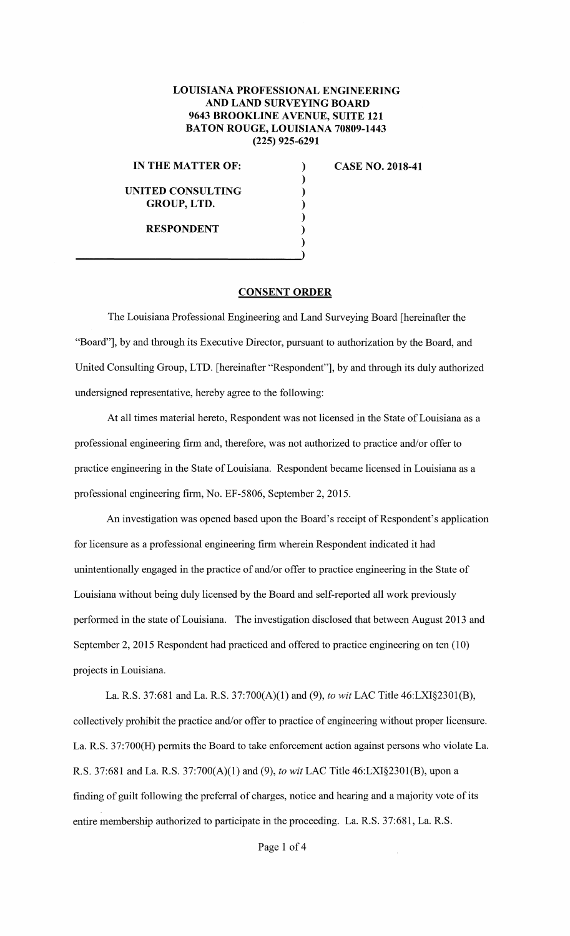## **LOUISIANA PROFESSIONAL ENGINEERING AND LAND SURVEYING BOARD 9643 BROOKLINE AVENUE, SUITE 121 BATON ROUGE, LOUISIANA 70809-1443 (225) 925-6291**

) ) ) ) ) )

## **IN THE MATTER OF:** )

## **UNITED CONSULTING GROUP,LTD.**

**RESPONDENT** 

**CASE NO. 2018-41** 

## **CONSENT ORDER**

The Louisiana Professional Engineering and Land Surveying Board [hereinafter the "Board"], by and through its Executive Director, pursuant to authorization by the Board, and United Consulting Group, LTD. [hereinafter "Respondent"], by and through its duly authorized undersigned representative, hereby agree to the following:

At all times material hereto, Respondent was not licensed in the State of Louisiana as a professional engineering firm and, therefore, was not authorized to practice and/or offer to practice engineering in the State of Louisiana. Respondent became licensed in Louisiana as a professional engineering firm, No. EF-5806, September 2, 2015.

An investigation was opened based upon the Board's receipt of Respondent's application for licensure as a professional engineering firm wherein Respondent indicated it had unintentionally engaged in the practice of and/or offer to practice engineering in the State of Louisiana without being duly licensed by the Board and self-reported all work previously performed in the state of Louisiana. The investigation disclosed that between August 2013 and September 2, 2015 Respondent had practiced and offered to practice engineering on ten (10) projects in Louisiana.

La. R.S. 37:681 and La. R.S. 37:700(A)(l) and (9), *to wit* LAC Title 46:LXI§2301(B), collectively prohibit the practice and/or offer to practice of engineering without proper licensure. La. R.S. 37:700(H) permits the Board to take enforcement action against persons who violate La. R.S. 37:681 and La. R.S. 37:700(A)(l) and (9), *to wit* LAC Title 46:LX1§2301(B), upon a finding of guilt following the preferral of charges, notice and hearing and a majority vote of its entire membership authorized to participate in the proceeding. La. R.S. 37:681, La. R.S.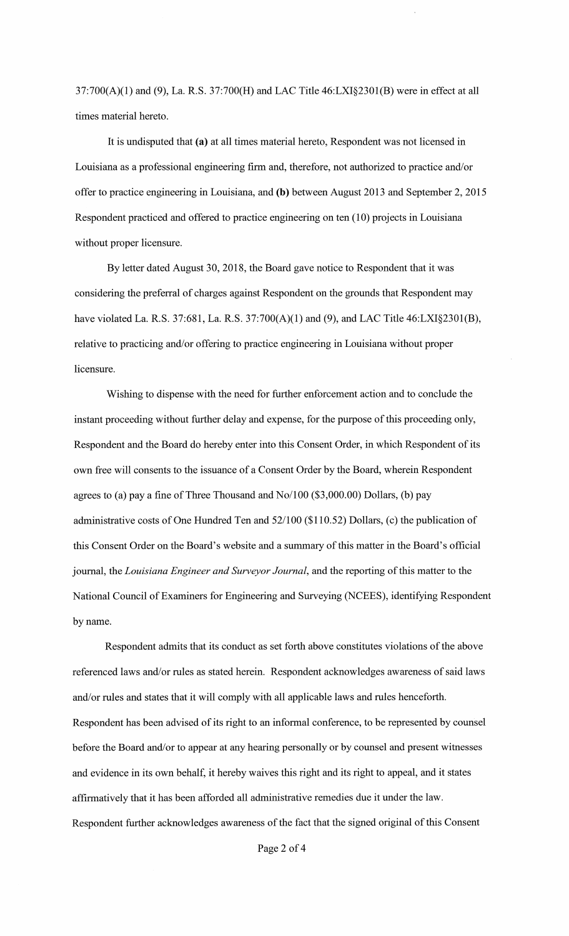37:700(A)(l) and (9), La. R.S. 37:700(H) and LAC Title 46:LXI§2301(B) were in effect at all times material hereto.

It is undisputed that **(a)** at all times material hereto, Respondent was not licensed in Louisiana as a professional engineering firm and, therefore, not authorized to practice and/or offer to practice engineering in Louisiana, and **(b)** between August 2013 and September 2, 2015 Respondent practiced and offered to practice engineering on ten (10) projects in Louisiana without proper licensure.

By letter dated August 30, 2018, the Board gave notice to Respondent that it was considering the preferral of charges against Respondent on the grounds that Respondent may have violated La. R.S. 37:681, La. R.S. 37:700(A)(1) and (9), and LAC Title  $46: LXI§2301(B)$ , relative to practicing and/or offering to practice engineering in Louisiana without proper licensure.

Wishing to dispense with the need for further enforcement action and to conclude the instant proceeding without further delay and expense, for the purpose of this proceeding only, Respondent and the Board do hereby enter into this Consent Order, in which Respondent of its own free will consents to the issuance of a Consent Order by the Board, wherein Respondent agrees to (a) pay a fine of Three Thousand and No/100 (\$3,000.00) Dollars, (b) pay administrative costs of One Hundred Ten and 52/100 (\$110.52) Dollars, (c) the publication of this Consent Order on the Board's website and a summary of this matter in the Board's official journal, the *Louisiana Engineer and Surveyor Journal,* and the reporting of this matter to the National Council of Examiners for Engineering and Surveying (NCEES), identifying Respondent by name.

Respondent admits that its conduct as set forth above constitutes violations of the above referenced laws and/or rules as stated herein. Respondent acknowledges awareness of said laws and/or rules and states that it will comply with all applicable laws and rules henceforth. Respondent has been advised of its right to an informal conference, to be represented by counsel before the Board and/or to appear at any hearing personally or by counsel and present witnesses and evidence in its own behalf, it hereby waives this right and its right to appeal, and it states affirmatively that it has been afforded all administrative remedies due it under the law. Respondent further acknowledges awareness of the fact that the signed original of this Consent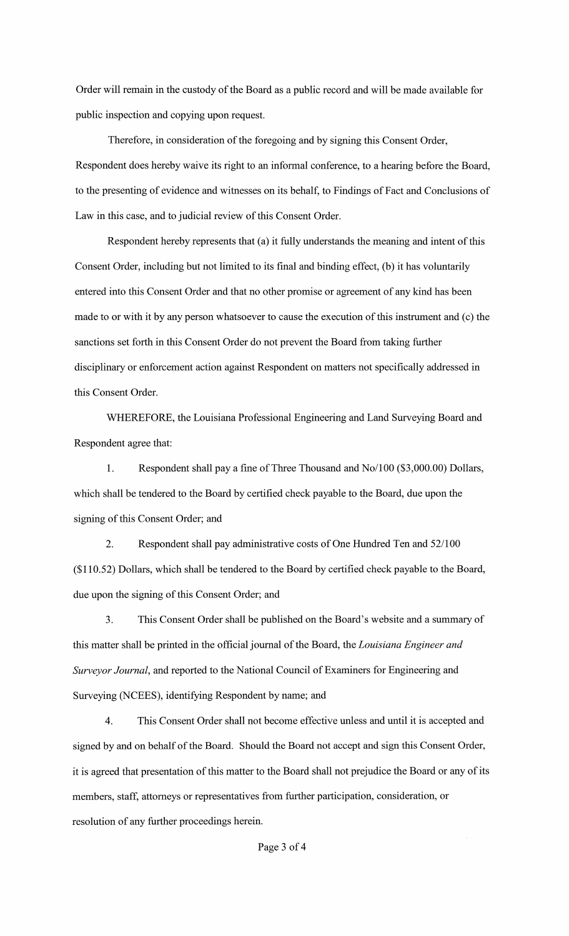Order will remain in the custody of the Board as a public record and will be made available for public inspection and copying upon request.

Therefore, in consideration of the foregoing and by signing this Consent Order, Respondent does hereby waive its right to an informal conference, to a hearing before the Board, to the presenting of evidence and witnesses on its behalf, to Findings of Fact and Conclusions of Law in this case, and to judicial review of this Consent Order.

Respondent hereby represents that (a) it fully understands the meaning and intent of this Consent Order, including but not limited to its final and binding effect, (b) it has voluntarily entered into this Consent Order and that no other promise or agreement of any kind has been made to or with it by any person whatsoever to cause the execution of this instrument and (c) the sanctions set forth in this Consent Order do not prevent the Board from taking further disciplinary or enforcement action against Respondent on matters not specifically addressed in this Consent Order.

WHEREFORE, the Louisiana Professional Engineering and Land Surveying Board and Respondent agree that:

1. Respondent shall pay a fine of Three Thousand and No/100 (\$3,000.00) Dollars, which shall be tendered to the Board by certified check payable to the Board, due upon the signing of this Consent Order; and

2. Respondent shall pay administrative costs of One Hundred Ten and 52/100 (\$110.52) Dollars, which shall be tendered to the Board by certified check payable to the Board, due upon the signing of this Consent Order; and

3. This Consent Order shall be published on the Board's website and a summary of this matter shall be printed in the official journal of the Board, the *Louisiana Engineer and Surveyor Journal,* and reported to the National Council of Examiners for Engineering and Surveying (NCEES), identifying Respondent by name; and

4. This Consent Order shall not become effective unless and until it is accepted and signed by and on behalf of the Board. Should the Board not accept and sign this Consent Order, it is agreed that presentation of this matter to the Board shall not prejudice the Board or any of its members, staff, attorneys or representatives from further participation, consideration, or resolution of any further proceedings herein.